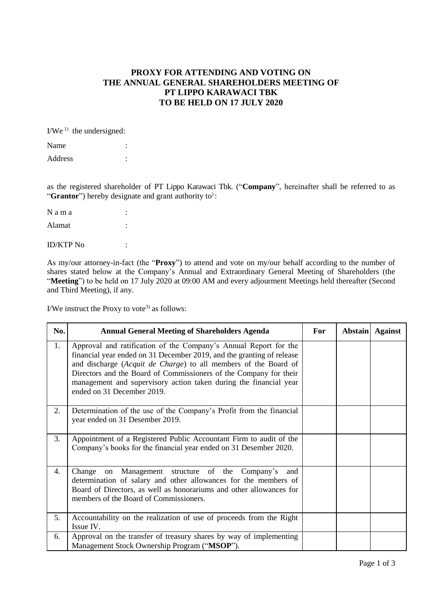## **PROXY FOR ATTENDING AND VOTING ON THE ANNUAL GENERAL SHAREHOLDERS MEETING OF PT LIPPO KARAWACI TBK TO BE HELD ON 17 JULY 2020**

 $I/We^{1}$  the undersigned:

| Name    |  |
|---------|--|
| Address |  |

as the registered shareholder of PT Lippo Karawaci Tbk. ("**Company**", hereinafter shall be referred to as "**Grantor**") hereby designate and grant authority to<sup>3</sup>:

| Nama             |  |
|------------------|--|
| Alamat           |  |
| <b>ID/KTP No</b> |  |

As my/our attorney-in-fact (the "**Proxy**") to attend and vote on my/our behalf according to the number of shares stated below at the Company's Annual and Extraordinary General Meeting of Shareholders (the "Meeting") to be held on 17 July 2020 at 09:00 AM and every adjourment Meetings held thereafter (Second and Third Meeting), if any.

I/We instruct the Proxy to vote<sup>3)</sup> as follows:

| No. | <b>Annual General Meeting of Shareholders Agenda</b>                                                                                                                                                                                                                                                                                                                                 | For | Abstain Against |
|-----|--------------------------------------------------------------------------------------------------------------------------------------------------------------------------------------------------------------------------------------------------------------------------------------------------------------------------------------------------------------------------------------|-----|-----------------|
| 1.  | Approval and ratification of the Company's Annual Report for the<br>financial year ended on 31 December 2019, and the granting of release<br>and discharge (Acquit de Charge) to all members of the Board of<br>Directors and the Board of Commissioners of the Company for their<br>management and supervisory action taken during the financial year<br>ended on 31 December 2019. |     |                 |
| 2.  | Determination of the use of the Company's Profit from the financial<br>year ended on 31 Desember 2019.                                                                                                                                                                                                                                                                               |     |                 |
| 3.  | Appointment of a Registered Public Accountant Firm to audit of the<br>Company's books for the financial year ended on 31 Desember 2020.                                                                                                                                                                                                                                              |     |                 |
| 4.  | on Management structure of the Company's<br>Change<br>and<br>determination of salary and other allowances for the members of<br>Board of Directors, as well as honorariums and other allowances for<br>members of the Board of Commissioners.                                                                                                                                        |     |                 |
| 5.  | Accountability on the realization of use of proceeds from the Right<br>Issue IV.                                                                                                                                                                                                                                                                                                     |     |                 |
| 6.  | Approval on the transfer of treasury shares by way of implementing<br>Management Stock Ownership Program ("MSOP").                                                                                                                                                                                                                                                                   |     |                 |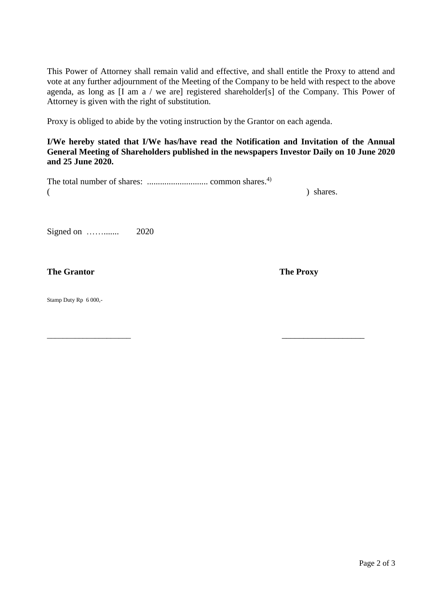This Power of Attorney shall remain valid and effective, and shall entitle the Proxy to attend and vote at any further adjournment of the Meeting of the Company to be held with respect to the above agenda, as long as [I am a / we are] registered shareholder[s] of the Company. This Power of Attorney is given with the right of substitution.

Proxy is obliged to abide by the voting instruction by the Grantor on each agenda.

**I/We hereby stated that I/We has/have read the Notification and Invitation of the Annual General Meeting of Shareholders published in the newspapers Investor Daily on 10 June 2020 and 25 June 2020.**

|  | ) shares. |
|--|-----------|

 $\overline{\phantom{a}}$  , and the contract of the contract of the contract of the contract of the contract of the contract of the contract of the contract of the contract of the contract of the contract of the contract of the contrac

Signed on ……....... 2020

**The Grantor The Proxy** 

Stamp Duty Rp 6 000,-